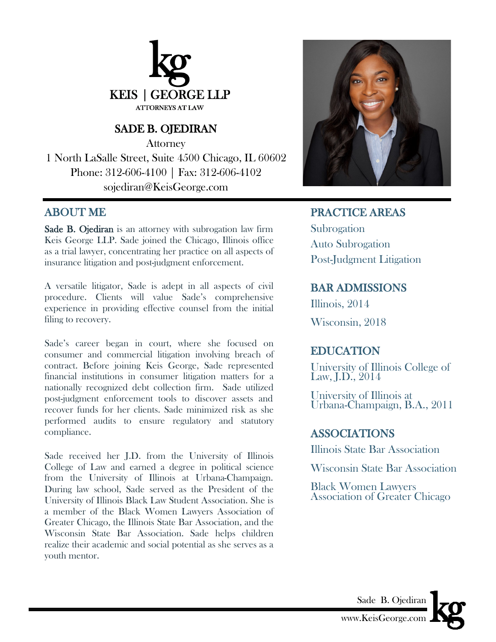

# SADE B. OJEDIRAN

Attorney 1 North LaSalle Street, Suite 4500 Chicago, IL 60602 Phone: 312-606-4100 | Fax: 312-606-4102 sojediran@KeisGeorge.com

## ABOUT ME

Sade B. Ojediran is an attorney with subrogation law firm Keis George LLP. Sade joined the Chicago, Illinois office as a trial lawyer, concentrating her practice on all aspects of insurance litigation and post-judgment enforcement.

A versatile litigator, Sade is adept in all aspects of civil procedure. Clients will value Sade's comprehensive experience in providing effective counsel from the initial filing to recovery.

Sade's career began in court, where she focused on consumer and commercial litigation involving breach of contract. Before joining Keis George, Sade represented financial institutions in consumer litigation matters for a nationally recognized debt collection firm. Sade utilized post-judgment enforcement tools to discover assets and recover funds for her clients. Sade minimized risk as she performed audits to ensure regulatory and statutory compliance.

Sade received her J.D. from the University of Illinois College of Law and earned a degree in political science from the University of Illinois at Urbana-Champaign. During law school, Sade served as the President of the University of Illinois Black Law Student Association. She is a member of the Black Women Lawyers Association of Greater Chicago, the Illinois State Bar Association, and the Wisconsin State Bar Association. Sade helps children realize their academic and social potential as she serves as a youth mentor.



## PRACTICE AREAS

**Subrogation** Auto Subrogation Post-Judgment Litigation

#### BAR ADMISSIONS

Illinois, 2014 Wisconsin, 2018

## EDUCATION

University of Illinois College of Law, J.D., 2014

University of Illinois at Urbana-Champaign, B.A., 2011

## ASSOCIATIONS

Illinois State Bar Association

Wisconsin State Bar Association

Black Women Lawyers Association of Greater Chicago